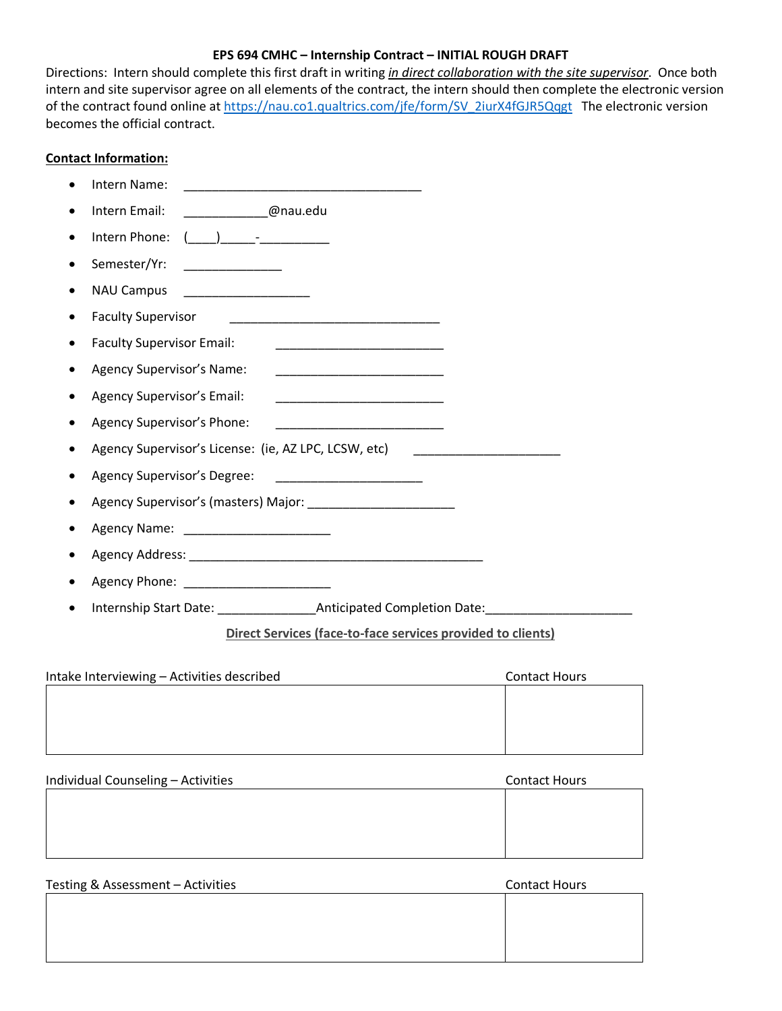### **EPS 694 CMHC – Internship Contract – INITIAL ROUGH DRAFT**

Directions: Intern should complete this first draft in writing *in direct collaboration with the site supervisor*. Once both intern and site supervisor agree on all elements of the contract, the intern should then complete the electronic version of the contract found online at https://nau.co1.qualtrics.com/jfe/form/SV\_2iurX4fGJR5Qqgt The electronic version becomes the official contract.

### **Contact Information:**

|           | Intern Name:                                                                                               |
|-----------|------------------------------------------------------------------------------------------------------------|
|           | Intern Email:<br>___________@nau.edu                                                                       |
| ٠         | Intern Phone:<br>$\begin{pmatrix} 1 & 1 \\ 1 & 1 \end{pmatrix}$                                            |
| ٠         | Semester/Yr:<br><u> Alexandria de la conte</u>                                                             |
| ٠         | <b>NAU Campus</b><br><u> 1989 - Andrea State Barbara, martin a</u>                                         |
| $\bullet$ | <b>Faculty Supervisor</b>                                                                                  |
| ٠         | <b>Faculty Supervisor Email:</b><br><u> 1989 - Johann John Stone, markin film eta eta eta erromania</u>    |
| ٠         | Agency Supervisor's Name:<br><u> 1989 - Johann Barbara, martxa al-Amerikaan piker (</u>                    |
| $\bullet$ | Agency Supervisor's Email:<br><u> 1989 - Johann John Stone, mars eta biztanleria (</u>                     |
| ٠         | Agency Supervisor's Phone:                                                                                 |
|           | Agency Supervisor's License: (ie, AZ LPC, LCSW, etc)<br><u> 1980 - Jan James James, martin amerikan ba</u> |
| ٠         | Agency Supervisor's Degree:                                                                                |
| ٠         |                                                                                                            |
|           | Agency Name: _________________________                                                                     |
|           |                                                                                                            |
|           | Agency Phone: __________________________                                                                   |
|           | Internship Start Date: ________________________Anticipated Completion Date: ________________________       |
|           |                                                                                                            |

# **Direct Services (face-to-face services provided to clients)**

| Intake Interviewing - Activities described | <b>Contact Hours</b> |
|--------------------------------------------|----------------------|
|                                            |                      |
|                                            |                      |
|                                            |                      |
|                                            |                      |

| Individual Counseling - Activities | <b>Contact Hours</b> |
|------------------------------------|----------------------|
|                                    |                      |
|                                    |                      |
|                                    |                      |
|                                    |                      |

| Testing & Assessment - Activities | <b>Contact Hours</b> |
|-----------------------------------|----------------------|
|                                   |                      |
|                                   |                      |
|                                   |                      |
|                                   |                      |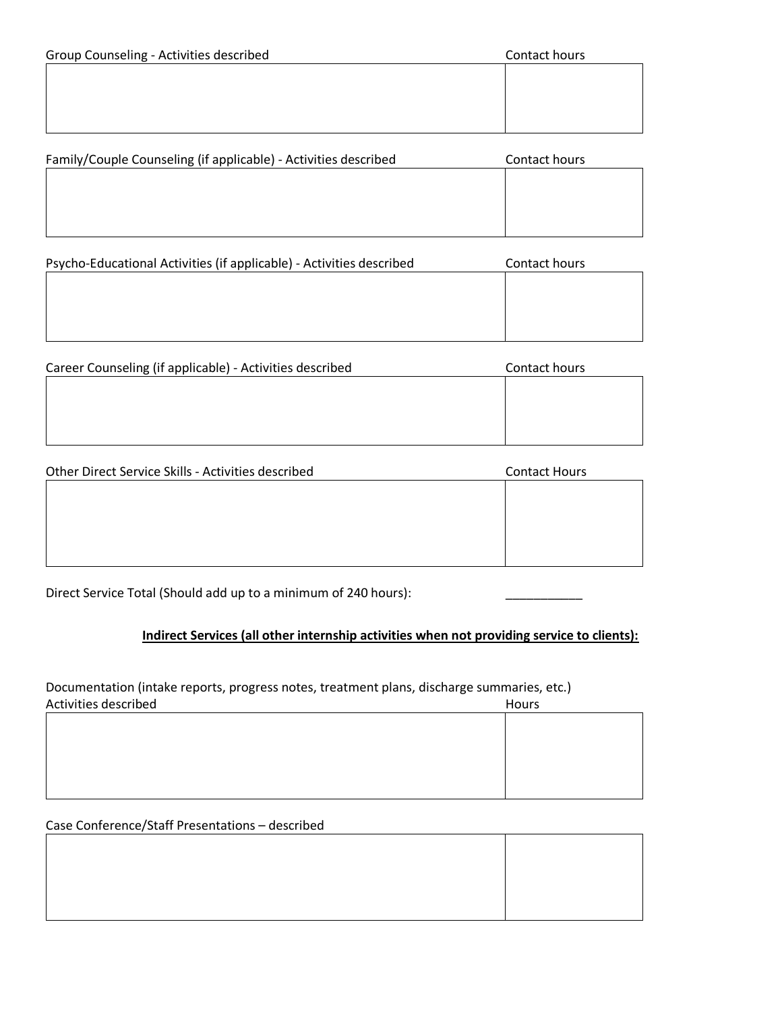$\mathbf{I}$ 

| $Family/Counle Conneeline (if annlicable) - Artivities described$ | Contact hours |  |
|-------------------------------------------------------------------|---------------|--|
|                                                                   |               |  |
|                                                                   |               |  |

| Tamily/Couple Courtselling (if applicable) - Activities described | CUIILACL HUUIS |
|-------------------------------------------------------------------|----------------|
|                                                                   |                |
|                                                                   |                |
|                                                                   |                |
|                                                                   |                |
|                                                                   |                |
|                                                                   |                |
|                                                                   |                |
|                                                                   |                |

| Psycho-Educational Activities (if applicable) - Activities described | Contact hours |
|----------------------------------------------------------------------|---------------|
|                                                                      |               |
|                                                                      |               |
|                                                                      |               |
|                                                                      |               |
|                                                                      |               |

| Career Counseling (if applicable) - Activities described | Contact hours |
|----------------------------------------------------------|---------------|
|                                                          |               |
|                                                          |               |
|                                                          |               |
|                                                          |               |

| Other Direct Service Skills - Activities described | <b>Contact Hours</b> |
|----------------------------------------------------|----------------------|
|                                                    |                      |
|                                                    |                      |
|                                                    |                      |
|                                                    |                      |
|                                                    |                      |

Direct Service Total (Should add up to a minimum of 240 hours):

## **Indirect Services (all other internship activities when not providing service to clients):**

Documentation (intake reports, progress notes, treatment plans, discharge summaries, etc.) Activities described Hours

### Case Conference/Staff Presentations – described